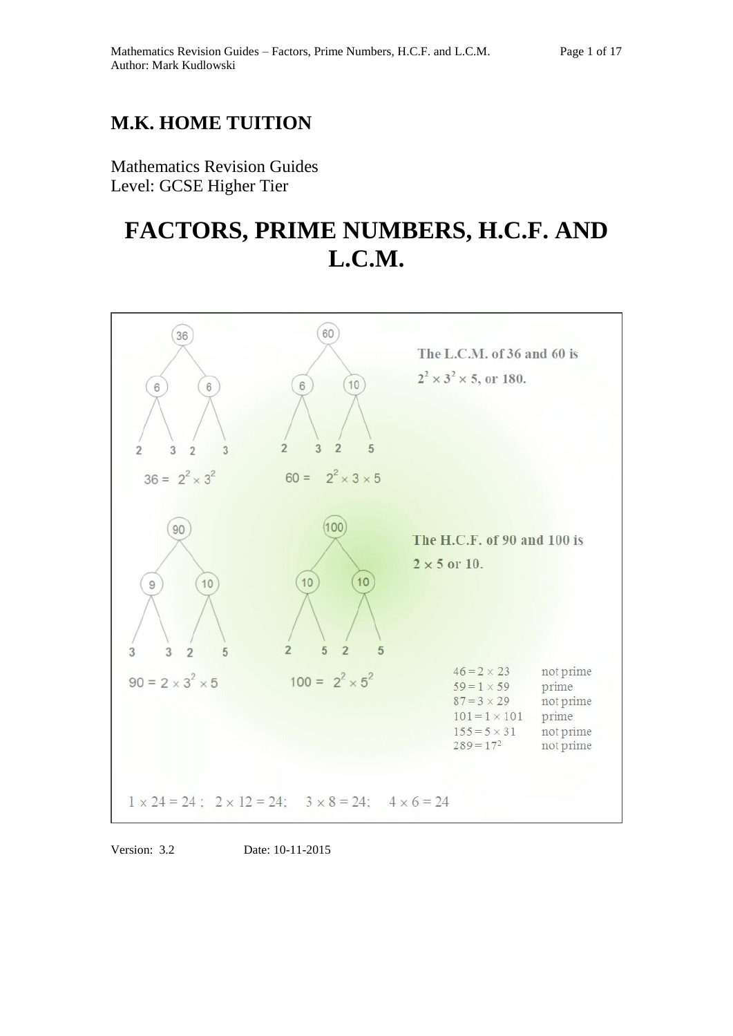## **M.K. HOME TUITION**

Mathematics Revision Guides Level: GCSE Higher Tier

# **FACTORS, PRIME NUMBERS, H.C.F. AND L.C.M.**



Version: 3.2 Date: 10-11-2015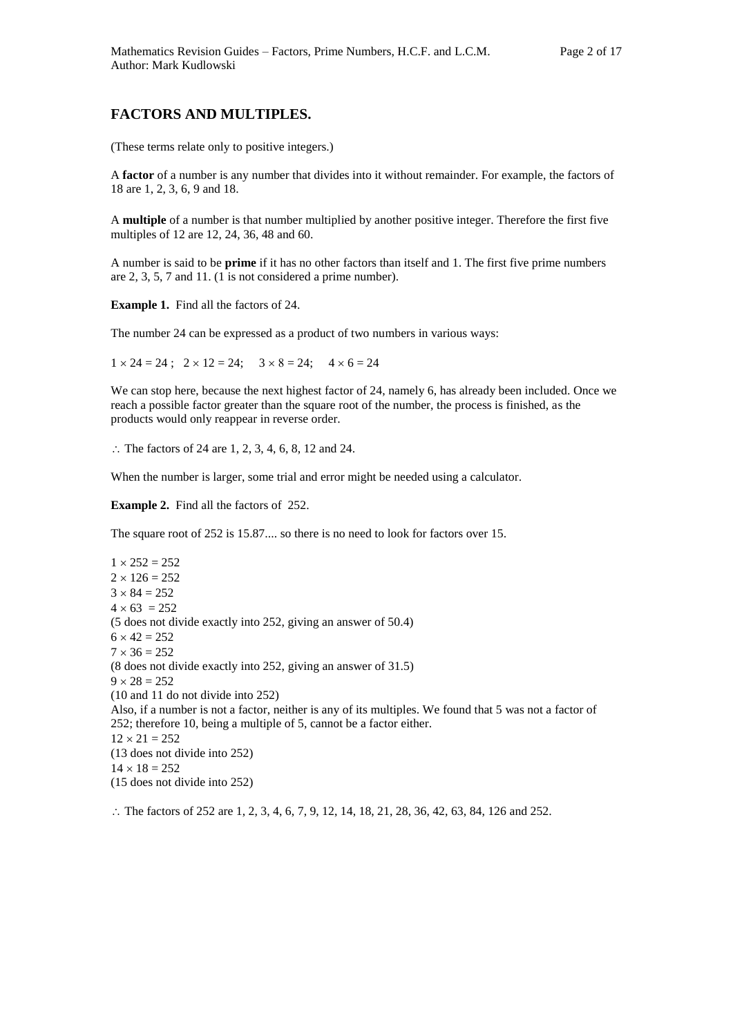## **FACTORS AND MULTIPLES.**

(These terms relate only to positive integers.)

A **factor** of a number is any number that divides into it without remainder. For example, the factors of 18 are 1, 2, 3, 6, 9 and 18.

A **multiple** of a number is that number multiplied by another positive integer. Therefore the first five multiples of 12 are 12, 24, 36, 48 and 60.

A number is said to be **prime** if it has no other factors than itself and 1. The first five prime numbers are 2, 3, 5, 7 and 11. (1 is not considered a prime number).

**Example 1.** Find all the factors of 24.

The number 24 can be expressed as a product of two numbers in various ways:

 $1 \times 24 = 24$ ;  $2 \times 12 = 24$ ;  $3 \times 8 = 24$ ;  $4 \times 6 = 24$ 

We can stop here, because the next highest factor of 24, namely 6, has already been included. Once we reach a possible factor greater than the square root of the number, the process is finished, as the products would only reappear in reverse order.

 $\therefore$  The factors of 24 are 1, 2, 3, 4, 6, 8, 12 and 24.

When the number is larger, some trial and error might be needed using a calculator.

**Example 2.** Find all the factors of 252.

The square root of 252 is 15.87.... so there is no need to look for factors over 15.

 $1 \times 252 = 252$  $2 \times 126 = 252$  $3 \times 84 = 252$  $4 \times 63 = 252$ (5 does not divide exactly into 252, giving an answer of 50.4)  $6 \times 42 = 252$  $7 \times 36 = 252$ (8 does not divide exactly into 252, giving an answer of 31.5)  $9 \times 28 = 252$ (10 and 11 do not divide into 252) Also, if a number is not a factor, neither is any of its multiples. We found that 5 was not a factor of 252; therefore 10, being a multiple of 5, cannot be a factor either.  $12 \times 21 = 252$ (13 does not divide into 252)  $14 \times 18 = 252$ (15 does not divide into 252)

 $\therefore$  The factors of 252 are 1, 2, 3, 4, 6, 7, 9, 12, 14, 18, 21, 28, 36, 42, 63, 84, 126 and 252.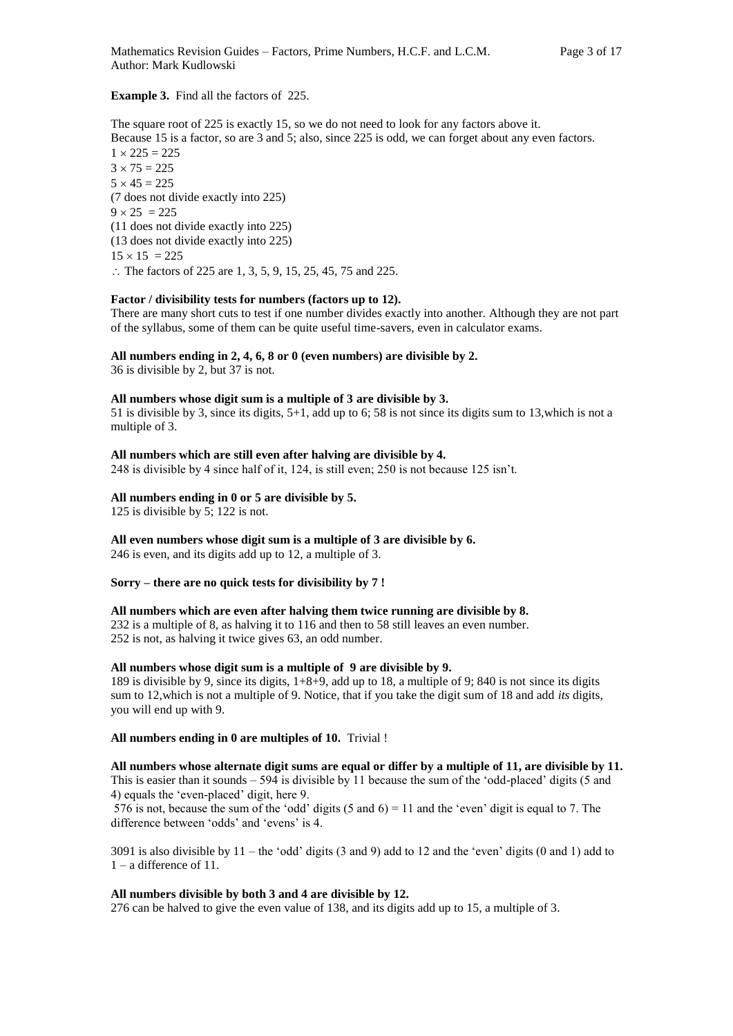#### **Example 3.** Find all the factors of 225.

The square root of 225 is exactly 15, so we do not need to look for any factors above it. Because 15 is a factor, so are 3 and 5; also, since 225 is odd, we can forget about any even factors.  $1 \times 225 = 225$  $3 \times 75 = 225$  $5 \times 45 = 225$ (7 does not divide exactly into 225)  $9 \times 25 = 225$ (11 does not divide exactly into 225) (13 does not divide exactly into 225)  $15 \times 15 = 225$ ∴ The factors of 225 are 1, 3, 5, 9, 15, 25, 45, 75 and 225.

#### **Factor / divisibility tests for numbers (factors up to 12).**

There are many short cuts to test if one number divides exactly into another. Although they are not part of the syllabus, some of them can be quite useful time-savers, even in calculator exams.

#### **All numbers ending in 2, 4, 6, 8 or 0 (even numbers) are divisible by 2.**

36 is divisible by 2, but 37 is not.

#### **All numbers whose digit sum is a multiple of 3 are divisible by 3.**

51 is divisible by 3, since its digits, 5+1, add up to 6; 58 is not since its digits sum to 13,which is not a multiple of 3.

#### **All numbers which are still even after halving are divisible by 4.**

248 is divisible by 4 since half of it, 124, is still even; 250 is not because 125 isn't.

#### **All numbers ending in 0 or 5 are divisible by 5.**

125 is divisible by 5; 122 is not.

**All even numbers whose digit sum is a multiple of 3 are divisible by 6.**  246 is even, and its digits add up to 12, a multiple of 3.

#### **Sorry – there are no quick tests for divisibility by 7 !**

#### **All numbers which are even after halving them twice running are divisible by 8.**

232 is a multiple of 8, as halving it to 116 and then to 58 still leaves an even number. 252 is not, as halving it twice gives 63, an odd number.

## **All numbers whose digit sum is a multiple of 9 are divisible by 9.**

189 is divisible by 9, since its digits, 1+8+9, add up to 18, a multiple of 9; 840 is not since its digits sum to 12,which is not a multiple of 9. Notice, that if you take the digit sum of 18 and add *its* digits, you will end up with 9.

#### **All numbers ending in 0 are multiples of 10.** Trivial !

**All numbers whose alternate digit sums are equal or differ by a multiple of 11, are divisible by 11.** This is easier than it sounds  $-594$  is divisible by 11 because the sum of the 'odd-placed' digits (5 and 4) equals the 'even-placed' digit, here 9.

576 is not, because the sum of the 'odd' digits (5 and 6) = 11 and the 'even' digit is equal to 7. The difference between 'odds' and 'evens' is 4.

3091 is also divisible by 11 – the 'odd' digits (3 and 9) add to 12 and the 'even' digits (0 and 1) add to 1 – a difference of 11.

## **All numbers divisible by both 3 and 4 are divisible by 12.**

276 can be halved to give the even value of 138, and its digits add up to 15, a multiple of 3.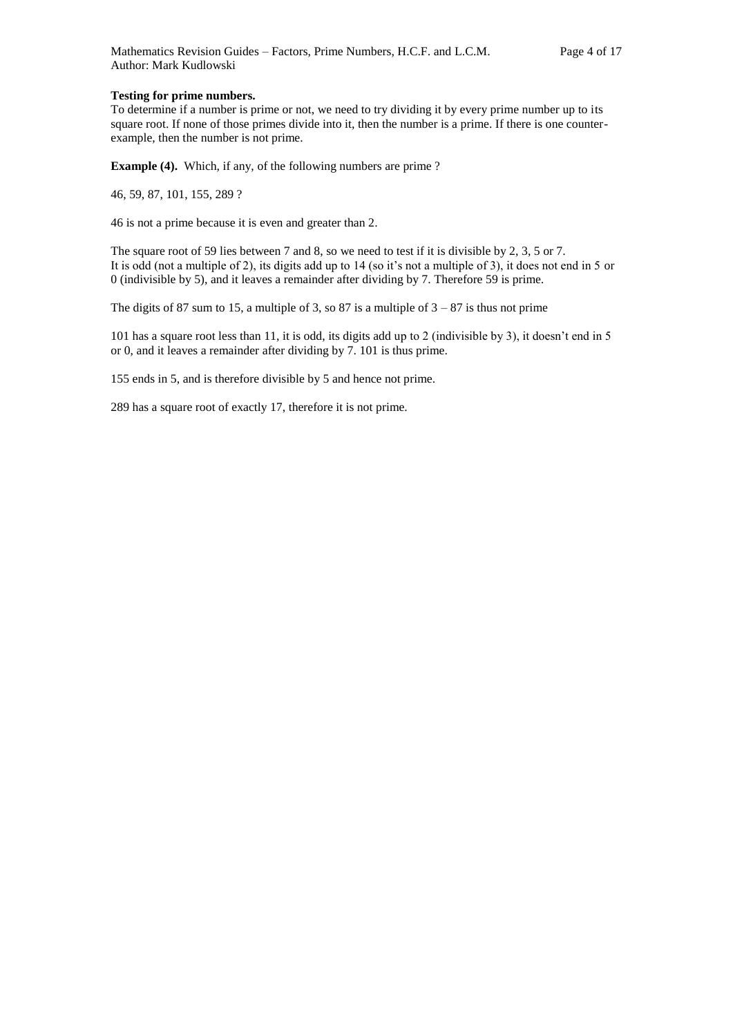#### **Testing for prime numbers.**

To determine if a number is prime or not, we need to try dividing it by every prime number up to its square root. If none of those primes divide into it, then the number is a prime. If there is one counterexample, then the number is not prime.

**Example (4).** Which, if any, of the following numbers are prime ?

46, 59, 87, 101, 155, 289 ?

46 is not a prime because it is even and greater than 2.

The square root of 59 lies between 7 and 8, so we need to test if it is divisible by 2, 3, 5 or 7. It is odd (not a multiple of 2), its digits add up to 14 (so it's not a multiple of 3), it does not end in 5 or 0 (indivisible by 5), and it leaves a remainder after dividing by 7. Therefore 59 is prime.

The digits of 87 sum to 15, a multiple of 3, so 87 is a multiple of  $3 - 87$  is thus not prime

101 has a square root less than 11, it is odd, its digits add up to 2 (indivisible by 3), it doesn't end in 5 or 0, and it leaves a remainder after dividing by 7. 101 is thus prime.

155 ends in 5, and is therefore divisible by 5 and hence not prime.

289 has a square root of exactly 17, therefore it is not prime.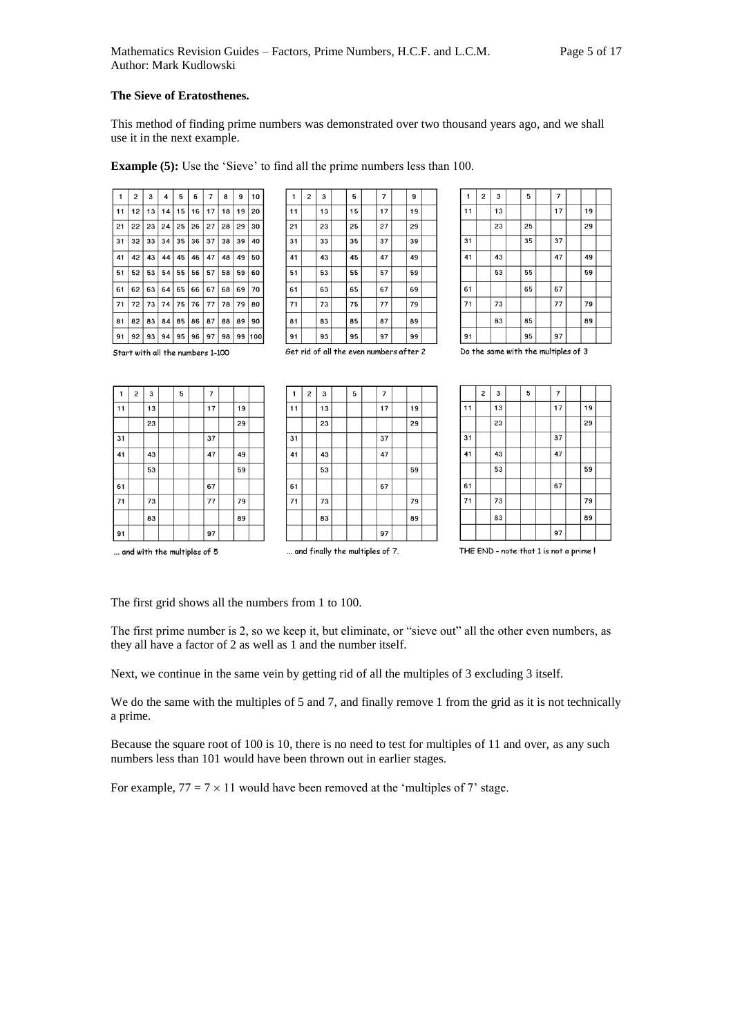## **The Sieve of Eratosthenes.**

This method of finding prime numbers was demonstrated over two thousand years ago, and we shall use it in the next example.

**Example (5):** Use the 'Sieve' to find all the prime numbers less than 100.

| 1    | 2  | 3  | 4  | 5  | 6     | $\overline{7}$ | 8  | 9  | 10  |
|------|----|----|----|----|-------|----------------|----|----|-----|
| 11   | 12 | 13 | 14 | 15 | 16    | 17             | 18 | 19 | 20  |
| 21   | 22 | 23 | 24 | 25 | 26    | 27             | 28 | 29 | 30  |
| l 31 | 32 | 33 | 34 | 35 | 36    | 37             | 38 | 39 | 40  |
| 41   | 42 | 43 | 44 |    | 45 46 | 47             | 48 | 49 | 50  |
| 51   | 52 | 53 | 54 | 55 | 56    | 57             | 58 | 59 | 60  |
| 61   | 62 | 63 | 64 | 65 | 66    | 67             | 68 | 69 | 70  |
| 71   | 72 | 73 | 74 | 75 | 76    | 77             | 78 | 79 | 80  |
| 81   | 82 | 83 | 84 | 85 | 86    | 87             | 88 | 89 | 90  |
| l 91 | 92 | 93 | 94 | 95 | 96    | 97             | 98 | 99 | 100 |

|    | 2                                       | з  |  | 5  |  | 7  |  | 9  |  |
|----|-----------------------------------------|----|--|----|--|----|--|----|--|
| 11 |                                         | 13 |  | 15 |  | 17 |  | 19 |  |
| 21 |                                         | 23 |  | 25 |  | 27 |  | 29 |  |
| 31 |                                         | 33 |  | 35 |  | 37 |  | 39 |  |
| 41 |                                         | 43 |  | 45 |  | 47 |  | 49 |  |
| 51 |                                         | 53 |  | 55 |  | 57 |  | 59 |  |
| 61 |                                         | 63 |  | 65 |  | 67 |  | 69 |  |
| 71 |                                         | 73 |  | 75 |  | 77 |  | 79 |  |
| 81 |                                         | 83 |  | 85 |  | 87 |  | 89 |  |
| 91 |                                         | 93 |  | 95 |  | 97 |  | 99 |  |
|    | Get rid of all the even numbers after 2 |    |  |    |  |    |  |    |  |

 $\mathbf 1$  $\mathbf{z}$  $\mathbf 3$  ${\bf 5}$  $\overline{\phantom{a}}$  $\overline{11}$  $\overline{13}$  $\overline{17}$  $\overline{19}$  $\overline{23}$  $\overline{25}$  $\overline{29}$  $35$  $\overline{31}$  $\overline{37}$  $\overline{41}$  $\overline{43}$  $\overline{47}$  $\overline{49}$ 53 55 59 65 61 67  $\overline{71}$  $\overline{73}$  $\frac{1}{77}$  $\overline{79}$ 83 85 89 95 91 97 Do the same with the multiples of 3

Start with all the numbers 1-100

 $\overline{2}$  $\mathbf{3}$  $\mathbf{1}$ 5  $\overline{7}$  $\overline{13}$  $\overline{17}$  $11$ 19  $\overline{29}$  $\overline{23}$  $31$ 37  $\overline{41}$  $\overline{47}$ 43 49  $\overline{53}$  $\overline{59}$ 61 67  $\overline{71}$  $\overline{77}$ 73 79 83 89 97  $91$ 

| 1               | $\overline{c}$ | 3  | 5 | $\overline{7}$ |    |  |
|-----------------|----------------|----|---|----------------|----|--|
| 11              |                | 13 |   | 17             | 19 |  |
|                 |                | 23 |   |                | 29 |  |
| $\overline{31}$ |                |    |   | 37             |    |  |
| 41              |                | 43 |   | 47             |    |  |
|                 |                | 53 |   |                | 59 |  |
| 51              |                |    |   | 67             |    |  |
| 71              |                | 73 |   |                | 79 |  |
|                 |                | 83 |   |                | 89 |  |
|                 |                |    |   | 97             |    |  |

|    | $\overline{\mathbf{c}}$ | 3  | 5 | $\overline{7}$ |    |  |
|----|-------------------------|----|---|----------------|----|--|
| 11 |                         | 13 |   | 17             | 19 |  |
|    |                         | 23 |   |                | 29 |  |
| 31 |                         |    |   | 37             |    |  |
| 41 |                         | 43 |   | 47             |    |  |
|    |                         | 53 |   |                | 59 |  |
| 61 |                         |    |   | 67             |    |  |
| 71 |                         | 73 |   |                | 79 |  |
|    |                         | 83 |   |                | 89 |  |
|    |                         |    |   | 97             |    |  |

... and with the multiples of 5

... and finally the multiples of 7.

THE END - note that 1 is not a prime !

The first grid shows all the numbers from 1 to 100.

The first prime number is 2, so we keep it, but eliminate, or "sieve out" all the other even numbers, as they all have a factor of 2 as well as 1 and the number itself.

Next, we continue in the same vein by getting rid of all the multiples of 3 excluding 3 itself.

We do the same with the multiples of 5 and 7, and finally remove 1 from the grid as it is not technically a prime.

Because the square root of 100 is 10, there is no need to test for multiples of 11 and over, as any such numbers less than 101 would have been thrown out in earlier stages.

For example,  $77 = 7 \times 11$  would have been removed at the 'multiples of 7' stage.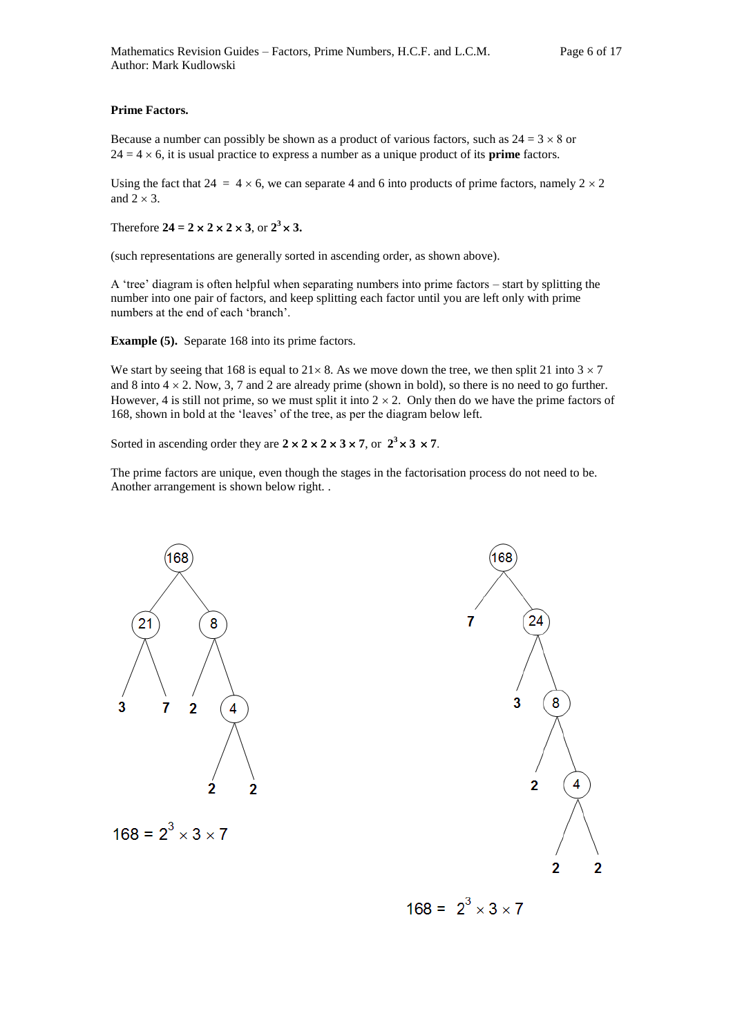#### **Prime Factors.**

Because a number can possibly be shown as a product of various factors, such as  $24 = 3 \times 8$  or  $24 = 4 \times 6$ , it is usual practice to express a number as a unique product of its **prime** factors.

Using the fact that 24 = 4  $\times$  6, we can separate 4 and 6 into products of prime factors, namely 2  $\times$  2 and  $2 \times 3$ .

Therefore  $24 = 2 \times 2 \times 2 \times 3$ , or  $2^3 \times 3$ .

(such representations are generally sorted in ascending order, as shown above).

A 'tree' diagram is often helpful when separating numbers into prime factors – start by splitting the number into one pair of factors, and keep splitting each factor until you are left only with prime numbers at the end of each 'branch'.

**Example (5).** Separate 168 into its prime factors.

We start by seeing that 168 is equal to  $21 \times 8$ . As we move down the tree, we then split 21 into  $3 \times 7$ and 8 into  $4 \times 2$ . Now, 3, 7 and 2 are already prime (shown in bold), so there is no need to go further. However, 4 is still not prime, so we must split it into  $2 \times 2$ . Only then do we have the prime factors of 168, shown in bold at the 'leaves' of the tree, as per the diagram below left.

Sorted in ascending order they are  $2 \times 2 \times 2 \times 3 \times 7$ , or  $2^3 \times 3 \times 7$ .

The prime factors are unique, even though the stages in the factorisation process do not need to be. Another arrangement is shown below right. .





 $168 = 2^3 \times 3 \times 7$ 

 $168 = 2^3 \times 3 \times 7$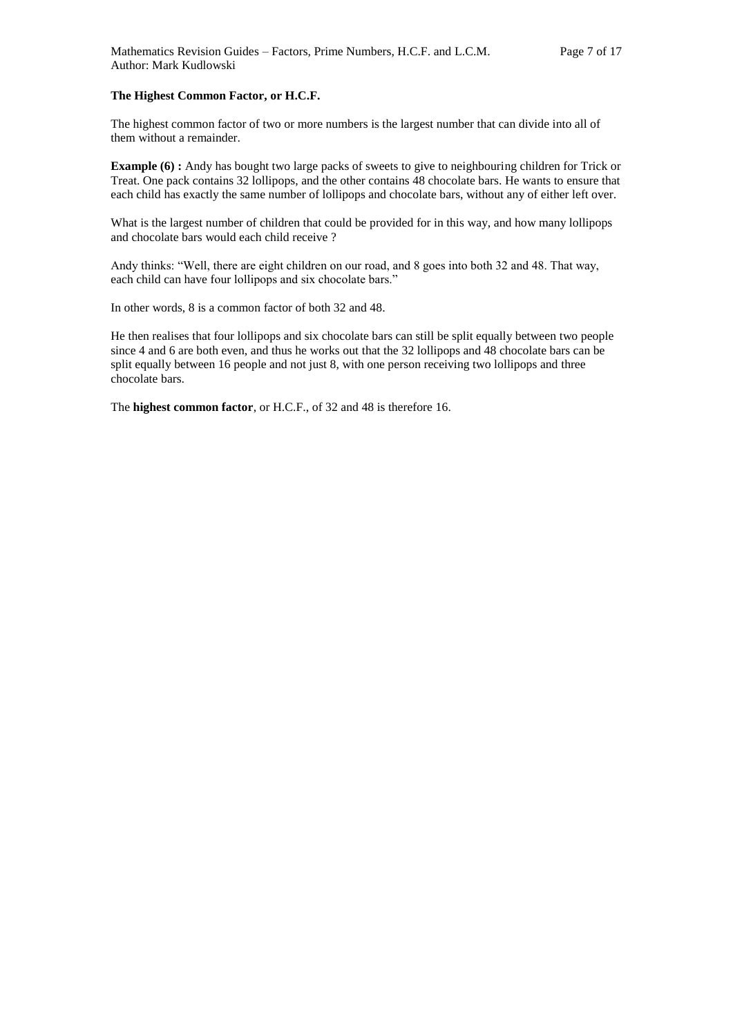#### **The Highest Common Factor, or H.C.F.**

The highest common factor of two or more numbers is the largest number that can divide into all of them without a remainder.

**Example (6) :** Andy has bought two large packs of sweets to give to neighbouring children for Trick or Treat. One pack contains 32 lollipops, and the other contains 48 chocolate bars. He wants to ensure that each child has exactly the same number of lollipops and chocolate bars, without any of either left over.

What is the largest number of children that could be provided for in this way, and how many lollipops and chocolate bars would each child receive ?

Andy thinks: "Well, there are eight children on our road, and 8 goes into both 32 and 48. That way, each child can have four lollipops and six chocolate bars."

In other words, 8 is a common factor of both 32 and 48.

He then realises that four lollipops and six chocolate bars can still be split equally between two people since 4 and 6 are both even, and thus he works out that the 32 lollipops and 48 chocolate bars can be split equally between 16 people and not just 8, with one person receiving two lollipops and three chocolate bars.

The **highest common factor**, or H.C.F., of 32 and 48 is therefore 16.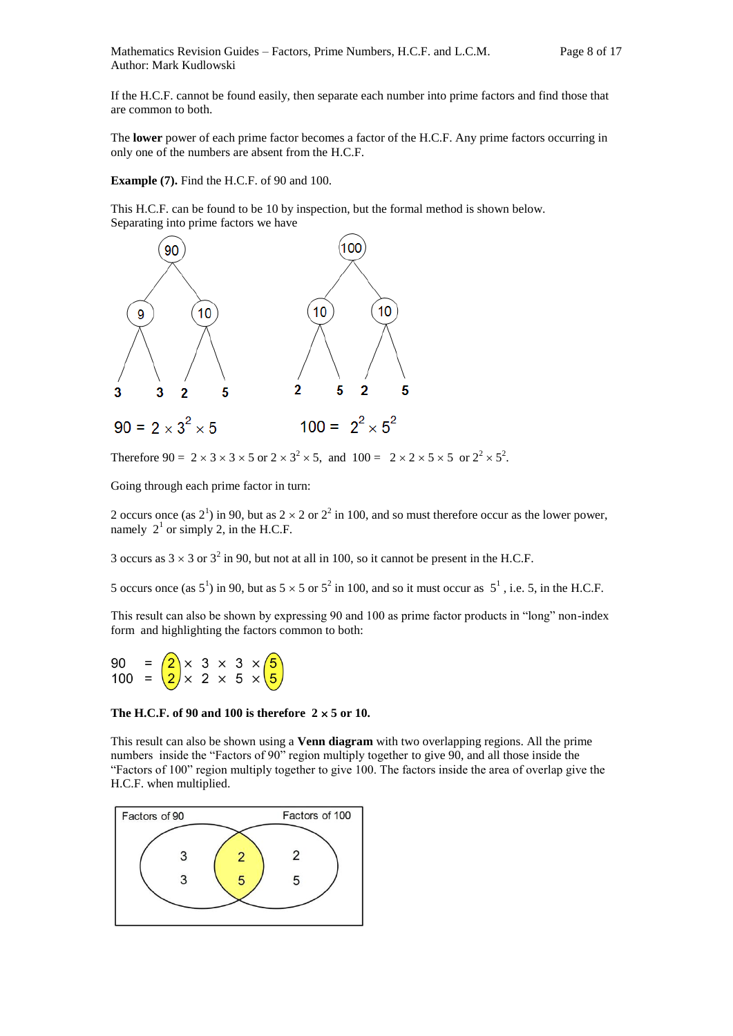If the H.C.F. cannot be found easily, then separate each number into prime factors and find those that are common to both.

The **lower** power of each prime factor becomes a factor of the H.C.F. Any prime factors occurring in only one of the numbers are absent from the H.C.F.

**Example (7).** Find the H.C.F. of 90 and 100.

This H.C.F. can be found to be 10 by inspection, but the formal method is shown below. Separating into prime factors we have



Therefore  $90 = 2 \times 3 \times 3 \times 5$  or  $2 \times 3^2 \times 5$ , and  $100 = 2 \times 2 \times 5 \times 5$  or  $2^2 \times 5^2$ .

Going through each prime factor in turn:

2 occurs once (as  $2^1$ ) in 90, but as  $2 \times 2$  or  $2^2$  in 100, and so must therefore occur as the lower power, namely  $2<sup>1</sup>$  or simply 2, in the H.C.F.

3 occurs as  $3 \times 3$  or  $3^2$  in 90, but not at all in 100, so it cannot be present in the H.C.F.

5 occurs once (as  $5^1$ ) in 90, but as  $5 \times 5$  or  $5^2$  in 100, and so it must occur as  $5^1$ , i.e. 5, in the H.C.F.

This result can also be shown by expressing 90 and 100 as prime factor products in "long" non-index form and highlighting the factors common to both:



#### The H.C.F. of 90 and 100 is therefore  $2 \times 5$  or 10.

This result can also be shown using a **Venn diagram** with two overlapping regions. All the prime numbers inside the "Factors of 90" region multiply together to give 90, and all those inside the "Factors of 100" region multiply together to give 100. The factors inside the area of overlap give the H.C.F. when multiplied.

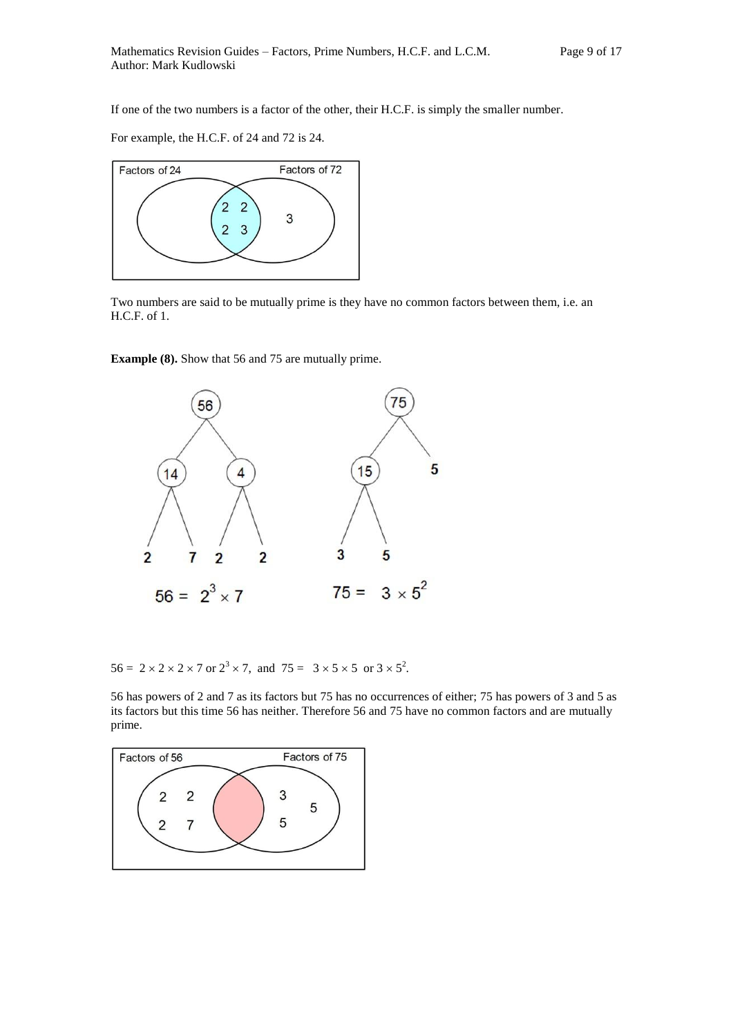If one of the two numbers is a factor of the other, their H.C.F. is simply the smaller number.

For example, the H.C.F. of 24 and 72 is 24.



Two numbers are said to be mutually prime is they have no common factors between them, i.e. an H.C.F. of 1.

**Example (8).** Show that 56 and 75 are mutually prime.



 $56 = 2 \times 2 \times 2 \times 7$  or  $2^3 \times 7$ , and  $75 = 3 \times 5 \times 5$  or  $3 \times 5^2$ .

56 has powers of 2 and 7 as its factors but 75 has no occurrences of either; 75 has powers of 3 and 5 as its factors but this time 56 has neither. Therefore 56 and 75 have no common factors and are mutually prime.

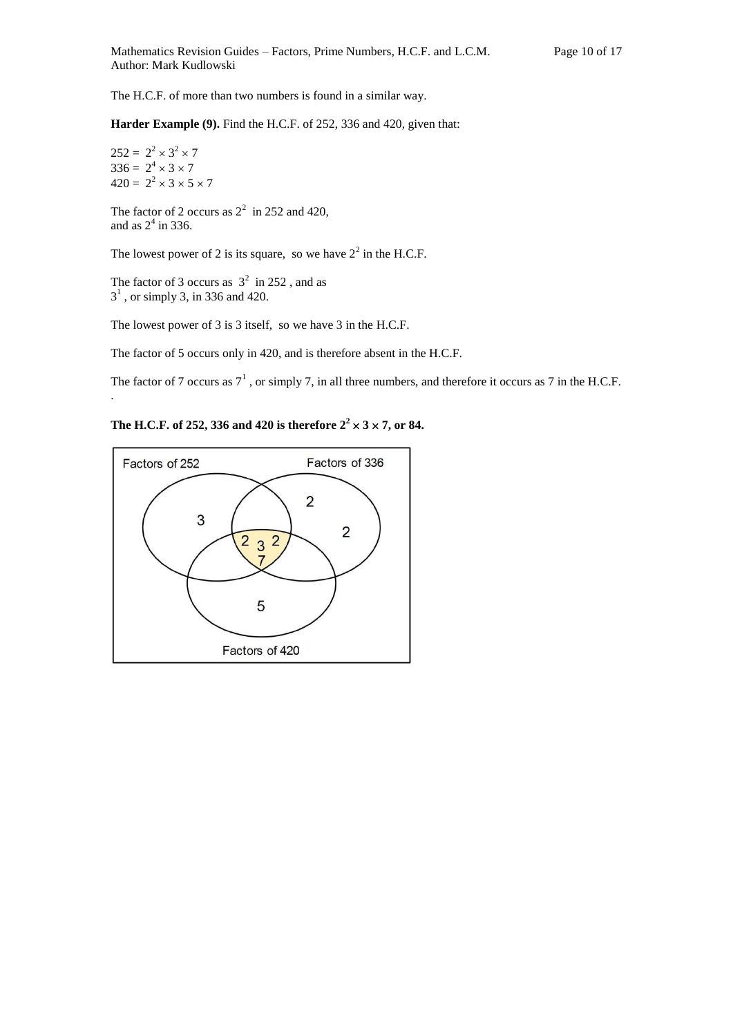The H.C.F. of more than two numbers is found in a similar way.

**Harder Example (9).** Find the H.C.F. of 252, 336 and 420, given that:

 $252 = 2^2 \times 3^2 \times 7$  $336 = 2^4 \times 3 \times 7$  $420 = 2^2 \times 3 \times 5 \times 7$ 

.

The factor of 2 occurs as  $2^2$  in 252 and 420, and as  $2^4$  in 336.

The lowest power of 2 is its square, so we have  $2^2$  in the H.C.F.

The factor of 3 occurs as  $3^2$  in 252, and as  $3<sup>1</sup>$ , or simply 3, in 336 and 420.

The lowest power of 3 is 3 itself, so we have 3 in the H.C.F.

The factor of 5 occurs only in 420, and is therefore absent in the H.C.F.

The factor of 7 occurs as  $7^1$ , or simply 7, in all three numbers, and therefore it occurs as 7 in the H.C.F.

**The H.C.F. of 252, 336 and 420 is therefore**  $2^2 \times 3 \times 7$ **, or 84.** 

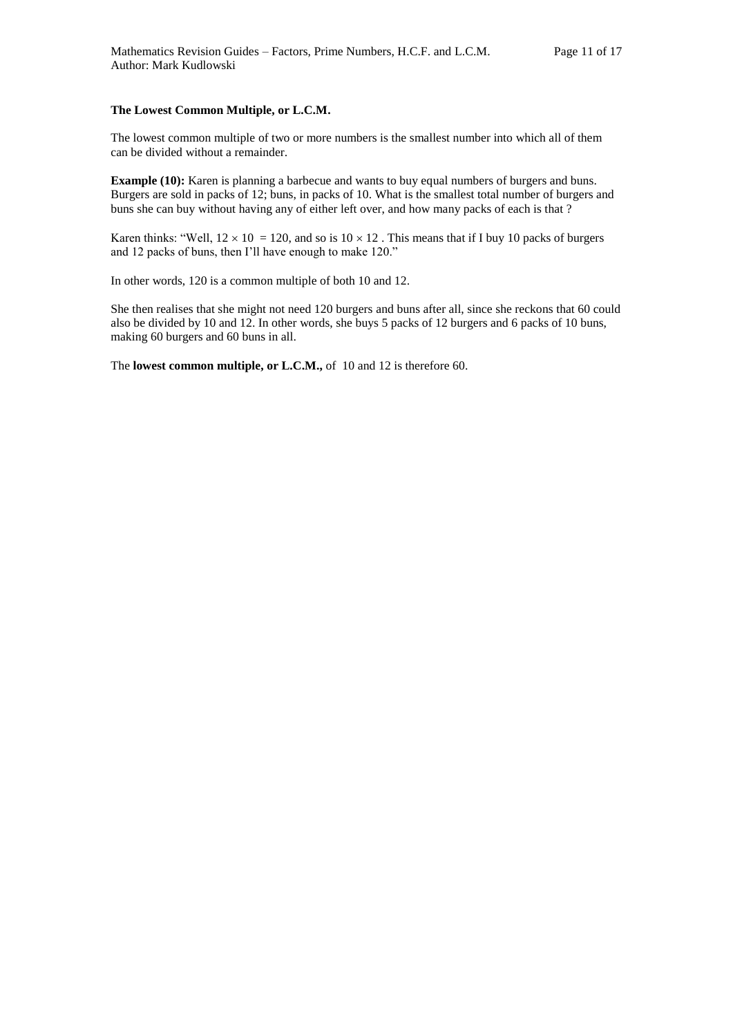#### **The Lowest Common Multiple, or L.C.M.**

The lowest common multiple of two or more numbers is the smallest number into which all of them can be divided without a remainder.

**Example (10):** Karen is planning a barbecue and wants to buy equal numbers of burgers and buns. Burgers are sold in packs of 12; buns, in packs of 10. What is the smallest total number of burgers and buns she can buy without having any of either left over, and how many packs of each is that ?

Karen thinks: "Well,  $12 \times 10 = 120$ , and so is  $10 \times 12$ . This means that if I buy 10 packs of burgers and 12 packs of buns, then I'll have enough to make 120."

In other words, 120 is a common multiple of both 10 and 12.

She then realises that she might not need 120 burgers and buns after all, since she reckons that 60 could also be divided by 10 and 12. In other words, she buys 5 packs of 12 burgers and 6 packs of 10 buns, making 60 burgers and 60 buns in all.

The **lowest common multiple, or L.C.M.,** of 10 and 12 is therefore 60.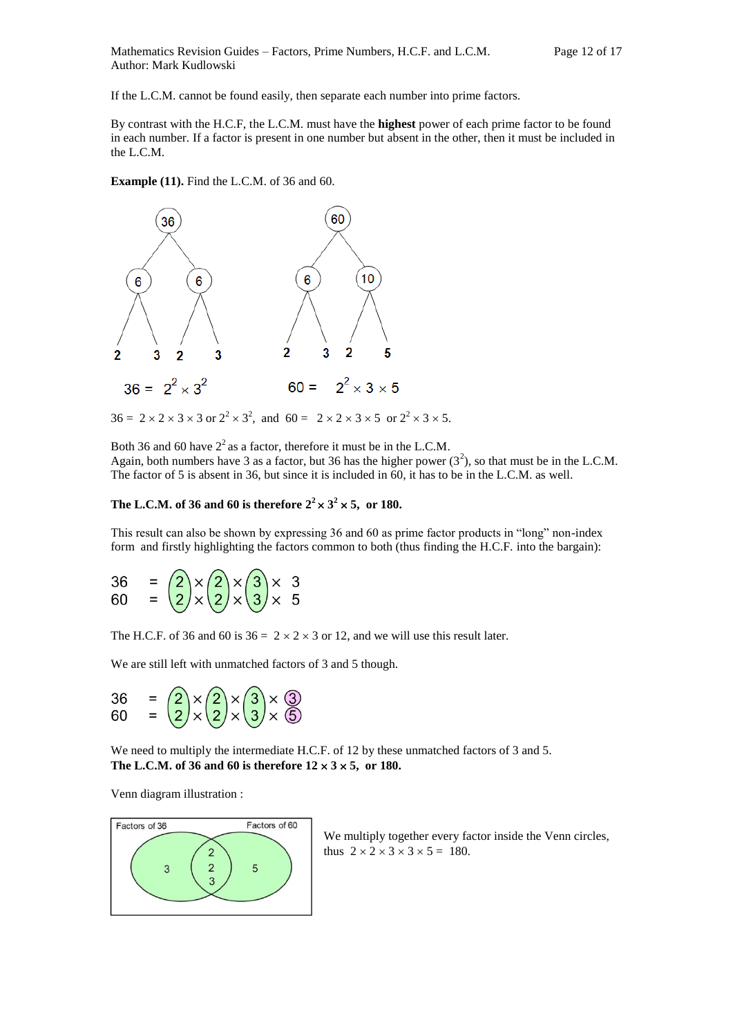If the L.C.M. cannot be found easily, then separate each number into prime factors.

By contrast with the H.C.F, the L.C.M. must have the **highest** power of each prime factor to be found in each number. If a factor is present in one number but absent in the other, then it must be included in the L.C.M.

**Example (11).** Find the L.C.M. of 36 and 60.



 $36 = 2 \times 2 \times 3 \times 3$  or  $2^2 \times 3^2$ , and  $60 = 2 \times 2 \times 3 \times 5$  or  $2^2 \times 3 \times 5$ .

Both 36 and 60 have  $2^2$  as a factor, therefore it must be in the L.C.M.

Again, both numbers have 3 as a factor, but 36 has the higher power  $(3^2)$ , so that must be in the L.C.M. The factor of 5 is absent in 36, but since it is included in 60, it has to be in the L.C.M. as well.

## The L.C.M. of 36 and 60 is therefore  $2^2 \times 3^2 \times 5$ , or 180.

This result can also be shown by expressing 36 and 60 as prime factor products in "long" non-index form and firstly highlighting the factors common to both (thus finding the H.C.F. into the bargain):

$$
36 = \left(\frac{2}{2}\right) \times \left(\frac{2}{2}\right) \times \left(\frac{3}{2}\right) \times 3
$$
  
60 =  $\left(\frac{2}{2}\right) \times \left(\frac{2}{2}\right) \times \left(\frac{3}{2}\right) \times 5$ 

The H.C.F. of 36 and 60 is  $36 = 2 \times 2 \times 3$  or 12, and we will use this result later.

We are still left with unmatched factors of 3 and 5 though.



We need to multiply the intermediate H.C.F. of 12 by these unmatched factors of 3 and 5. **The L.C.M. of 36 and 60 is therefore 12 3 5, or 180.**

Venn diagram illustration :



We multiply together every factor inside the Venn circles, thus  $2 \times 2 \times 3 \times 3 \times 5 = 180$ .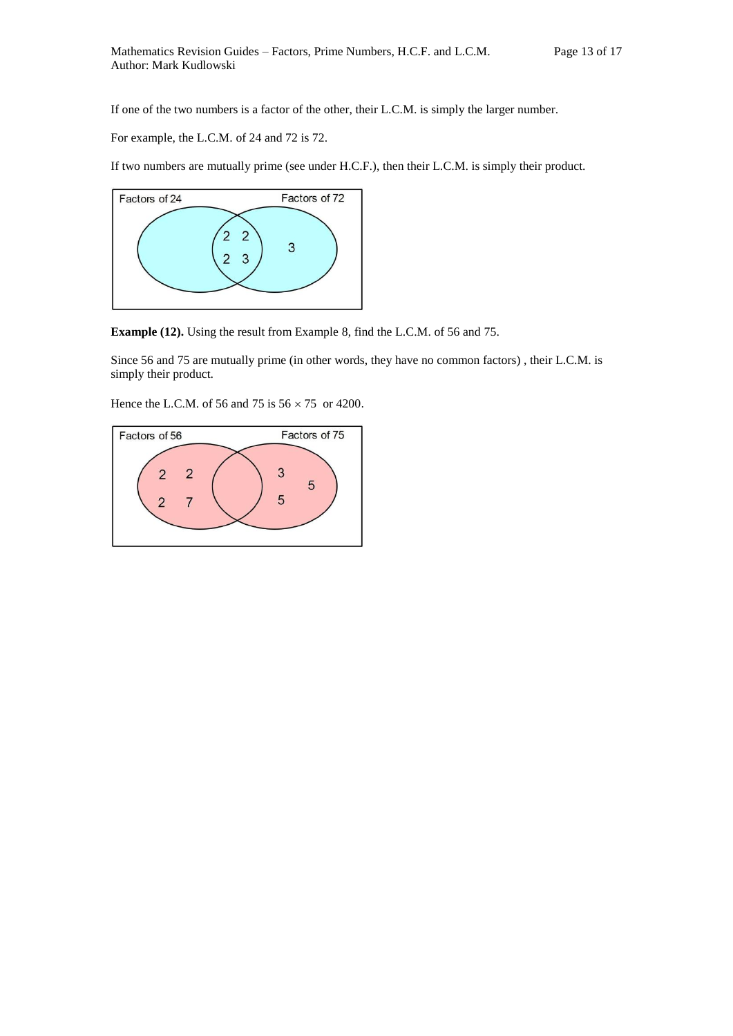If one of the two numbers is a factor of the other, their L.C.M. is simply the larger number.

For example, the L.C.M. of 24 and 72 is 72.

If two numbers are mutually prime (see under H.C.F.), then their L.C.M. is simply their product.



**Example (12).** Using the result from Example 8, find the L.C.M. of 56 and 75.

Since 56 and 75 are mutually prime (in other words, they have no common factors) , their L.C.M. is simply their product.

Hence the L.C.M. of 56 and 75 is  $56 \times 75$  or 4200.

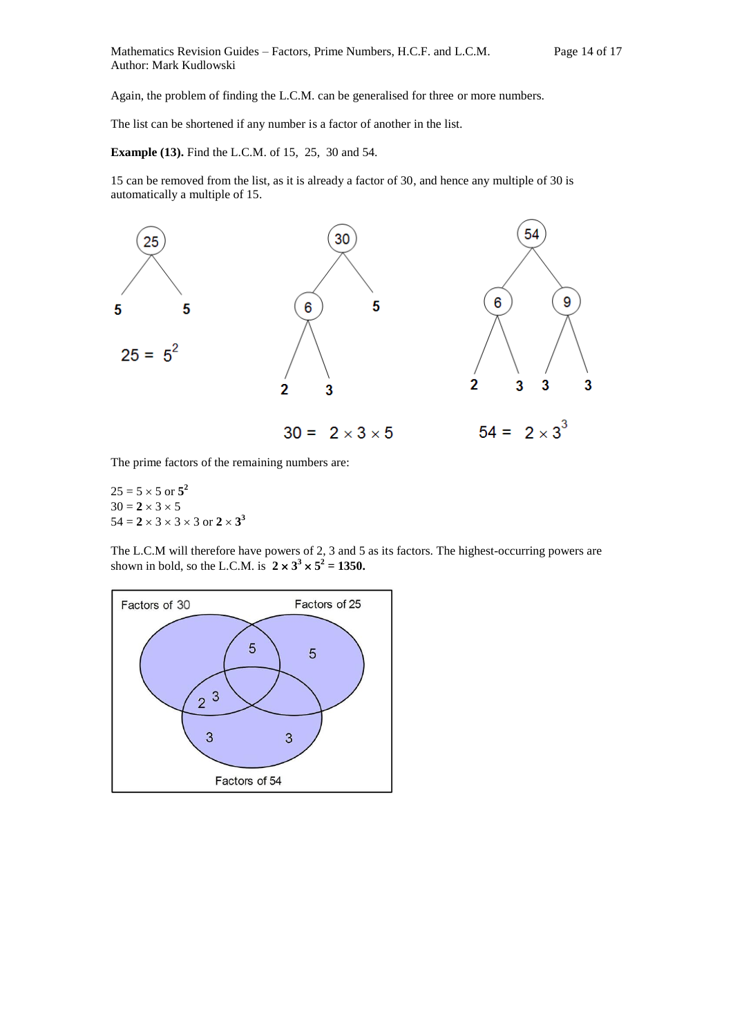Again, the problem of finding the L.C.M. can be generalised for three or more numbers.

The list can be shortened if any number is a factor of another in the list.

**Example (13).** Find the L.C.M. of 15, 25, 30 and 54.

15 can be removed from the list, as it is already a factor of 30, and hence any multiple of 30 is automatically a multiple of 15.



The prime factors of the remaining numbers are:

 $25 = 5 \times 5$  or  $5^2$  $30 = 2 \times 3 \times 5$  $54 = 2 \times 3 \times 3 \times 3$  or  $2 \times 3^3$ 

The L.C.M will therefore have powers of 2, 3 and 5 as its factors. The highest-occurring powers are shown in bold, so the L.C.M. is  $2 \times 3^3 \times 5^2 = 1350$ .

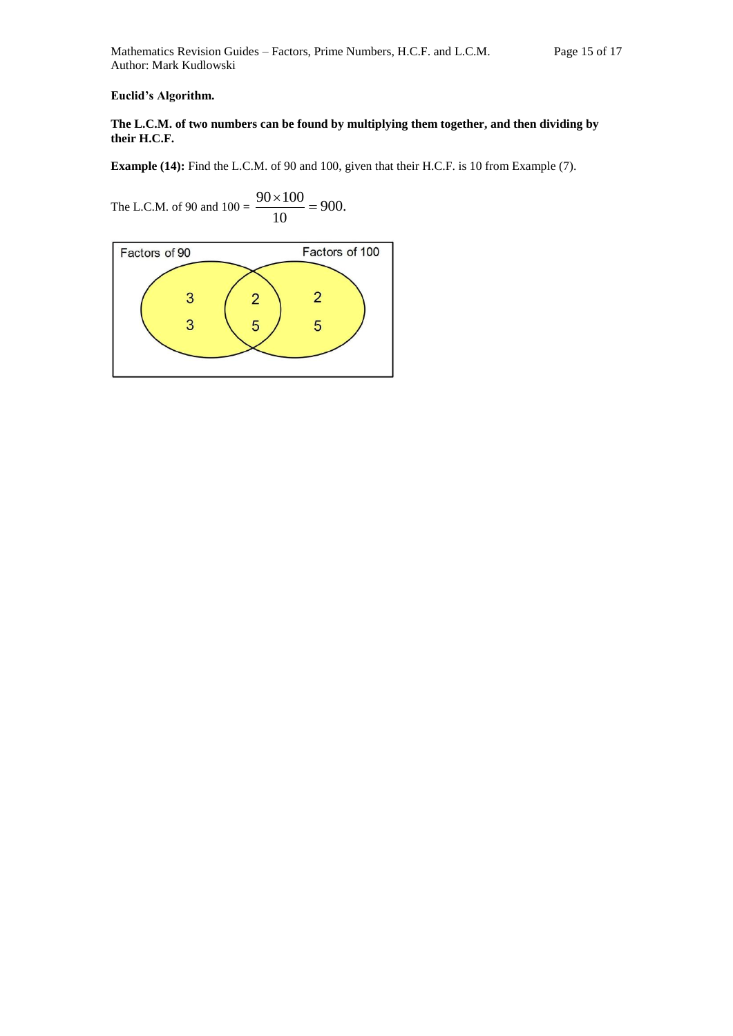**Euclid's Algorithm.**

## **The L.C.M. of two numbers can be found by multiplying them together, and then dividing by their H.C.F.**

**Example (14):** Find the L.C.M. of 90 and 100, given that their H.C.F. is 10 from Example (7).

The L.C.M. of 90 and  $100 = \frac{90 \times 100}{10} = 900$ . 10  $\frac{90 \times 100}{10}$ 

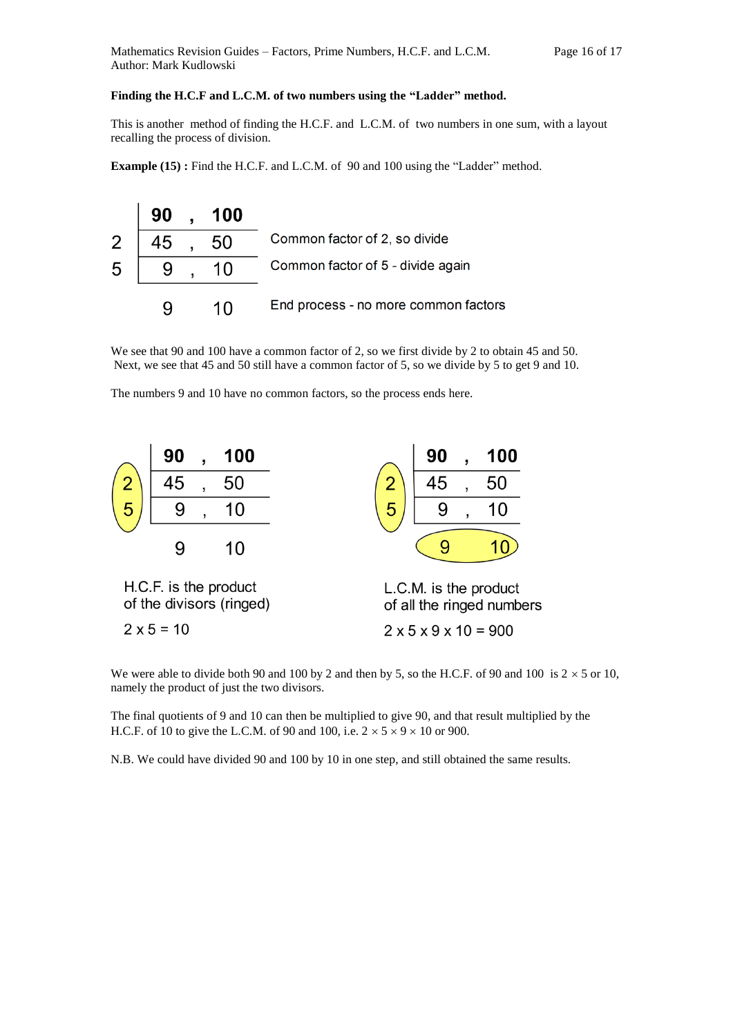## **Finding the H.C.F and L.C.M. of two numbers using the "Ladder" method.**

This is another method of finding the H.C.F. and L.C.M. of two numbers in one sum, with a layout recalling the process of division.

**Example (15):** Find the H.C.F. and L.C.M. of 90 and 100 using the "Ladder" method.

|   | 90 | 100 |                                      |
|---|----|-----|--------------------------------------|
| 2 | 45 | 50  | Common factor of 2, so divide        |
| 5 |    | 10  | Common factor of 5 - divide again    |
|   |    | 10  | End process - no more common factors |

We see that 90 and 100 have a common factor of 2, so we first divide by 2 to obtain 45 and 50. Next, we see that 45 and 50 still have a common factor of 5, so we divide by 5 to get 9 and 10.

The numbers 9 and 10 have no common factors, so the process ends here.



We were able to divide both 90 and 100 by 2 and then by 5, so the H.C.F. of 90 and 100 is  $2 \times 5$  or 10, namely the product of just the two divisors.

The final quotients of 9 and 10 can then be multiplied to give 90, and that result multiplied by the H.C.F. of 10 to give the L.C.M. of 90 and 100, i.e.  $2 \times 5 \times 9 \times 10$  or 900.

N.B. We could have divided 90 and 100 by 10 in one step, and still obtained the same results.